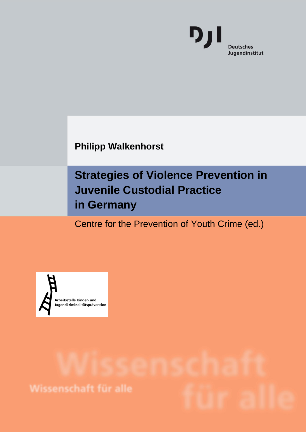

**Philipp Walkenhorst**

## **Strategies of Violence Prevention in Juvenile Custodial Practice in Germany**

Centre for the Prevention of Youth Crime (ed.)

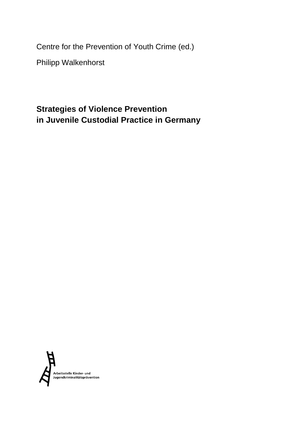Centre for the Prevention of Youth Crime (ed.)

Philipp Walkenhorst

## **Strategies of Violence Prevention in Juvenile Custodial Practice in Germany**

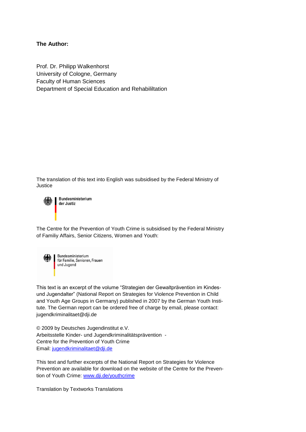#### **The Author:**

Prof. Dr. Philipp Walkenhorst University of Cologne, Germany Faculty of Human Sciences Department of Special Education and Rehabililtation

The translation of this text into English was subsidised by the Federal Ministry of Justice



Bundesministerium der Justiz

The Centre for the Prevention of Youth Crime is subsidised by the Federal Ministry of Familiy Affairs, Senior Citizens, Women and Youth:



Bundesministerium für Familie, Senioren, Frauen und Jugend

This text is an excerpt of the volume "Strategien der Gewaltprävention im Kindesund Jugendalter" (National Report on Strategies for Violence Prevention in Child and Youth Age Groups in Germany) published in 2007 by the German Youth Institute. The German report can be ordered free of charge by email, please contact: jugendkriminalitaet@dji.de

© 2009 by Deutsches Jugendinstitut e.V. Arbeitsstelle Kinder- und Jugendkriminalitätsprävention - Centre for the Prevention of Youth Crime Email: [jugendkriminalitaet@dji.de](mailto:jugendkriminalitaet@dji.de)

This text and further excerpts of the National Report on Strategies for Violence Prevention are available for download on the website of the Centre for the Prevention of Youth Crime: [www.dji.de/youthcrime](http://www.dji.de/youthcrime)

Translation by Textworks Translations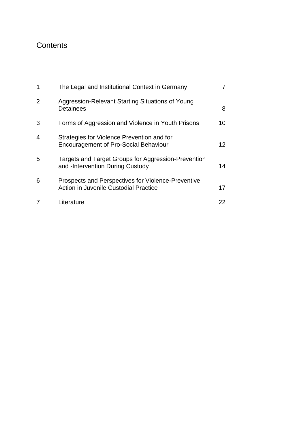## **Contents**

| 1 | The Legal and Institutional Context in Germany                                              |    |
|---|---------------------------------------------------------------------------------------------|----|
| 2 | Aggression-Relevant Starting Situations of Young<br><b>Detainees</b>                        | 8  |
| 3 | Forms of Aggression and Violence in Youth Prisons                                           | 10 |
| 4 | Strategies for Violence Prevention and for<br><b>Encouragement of Pro-Social Behaviour</b>  | 12 |
| 5 | Targets and Target Groups for Aggression-Prevention<br>and -Intervention During Custody     | 14 |
| 6 | Prospects and Perspectives for Violence-Preventive<br>Action in Juvenile Custodial Practice | 17 |
|   | Literature                                                                                  | 22 |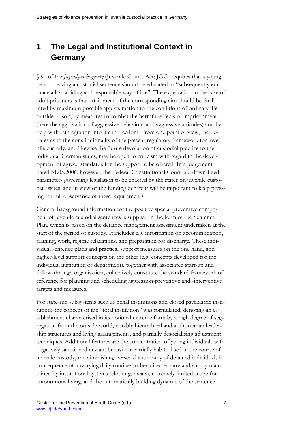## <span id="page-6-0"></span>**1 The Legal and Institutional Context in Germany**

§ 91 of the *Jugendgerichtsgesetz* (Juvenile Courts Act; JGG) requires that a young person serving a custodial sentence should be educated to "subsequently embrace a law-abiding and responsible way of life". The expectation in the case of adult prisoners is that attainment of the corresponding aim should be facilitated by maximum possible approximation to the conditions of ordinary life outside prison, by measures to combat the harmful effects of imprisonment (here the aggravation of aggressive behaviour and aggressive attitudes) and by help with reintegration into life in freedom. From one point of view, the debates as to the constitutionality of the present regulatory framework for juvenile custody, and likewise the future devolution of custodial practice to the individual German states, may be open to criticism with regard to the development of agreed standards for the support to be offered. In a judgement dated 31.05.2006, however, the Federal Constitutional Court laid down fixed parameters governing legislation to be enacted by the states on juvenile custodial issues, and in view of the funding debate it will be important to keep pressing for full observance of these requirements.

General background information for the positive special preventive component of juvenile custodial sentences is supplied in the form of the Sentence Plan, which is based on the detainee management assessment undertaken at the start of the period of custody. It includes e.g. information on accommodation, training, work, regime relaxations, and preparation for discharge. These individual sentence plans and practical support measures on the one hand, and higher-level support concepts on the other (e.g. concepts developed for the individual institution or department), together with associated start-up and follow-through organisation, collectively constitute the standard framework of reference for planning and scheduling aggression-preventive and -interventive targets and measures.

For state-run subsystems such as penal institutions and closed psychiatric institutions the concept of the "total institution" was formulated, denoting an establishment characterised in its notional extreme form by a high degree of segregation from the outside world, notably hierarchical and authoritarian leadership structures and living arrangements, and partially desocialising adjustment techniques. Additional features are the concentration of young individuals with negatively sanctioned deviant behaviour partially habitualised in the course of juvenile custody, the diminishing personal autonomy of detained individuals in consequence of unvarying daily routines, other-directed care and supply maintained by institutional systems (clothing, meals), extremely limited scope for autonomous living, and the automatically building dynamic of the sentence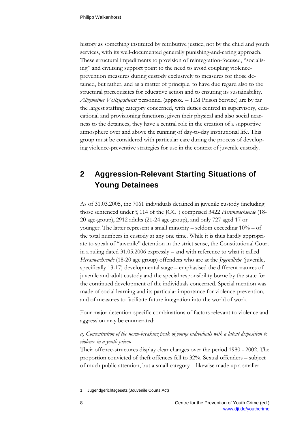history as something instituted by retributive justice, not by the child and youth services, with its well-documented generally punishing-and-caring approach. These structural impediments to provision of reintegration-focused, "socialising" and civilising support point to the need to avoid coupling violenceprevention measures during custody exclusively to measures for those detained, but rather, and as a matter of principle, to have due regard also to the structural prerequisites for educative action and to ensuring its sustainability. *Allgemeiner Vollzugsdienst* personnel (approx. = HM Prison Service) are by far the largest staffing category concerned, with duties centred in supervisory, educational and provisioning functions; given their physical and also social nearness to the detainees, they have a central role in the creation of a supportive atmosphere over and above the running of day-to-day institutional life. This group must be considered with particular care during the process of developing violence-preventive strategies for use in the context of juvenile custody.

## <span id="page-7-0"></span>**2 Aggression-Relevant Starting Situations of Young Detainees**

As of 31.03.2005, the 7061 individuals detained in juvenile custody (including those sentenced under § 114 of the JGG<sup>1</sup>) comprised 3422 *Heranwachsende* (18-20 age-group), 2912 adults (21-24 age-group), and only 727 aged 17 or younger. The latter represent a small minority – seldom exceeding  $10\%$  – of the total numbers in custody at any one time. While it is thus hardly appropriate to speak of "juvenile" detention in the strict sense, the Constitutional Court in a ruling dated 31.05.2006 expressly – and with reference to what it called *Heranwachsende* (18-20 age group) offenders who are at the *Jugendliche* (juvenile, specifically 13-17) developmental stage – emphasised the different natures of juvenile and adult custody and the special responsibility borne by the state for the continued development of the individuals concerned. Special mention was made of social learning and its particular importance for violence-prevention, and of measures to facilitate future integration into the world of work.

Four major detention-specific combinations of factors relevant to violence and aggression may be enumerated:

#### *a) Concentration of the norm-breaking peak of young individuals with a latent disposition to violence in a youth prison*

Their offence-structures display clear changes over the period 1980 - 2002. The proportion convicted of theft offences fell to 32%. Sexual offenders – subject of much public attention, but a small category – likewise made up a smaller

1 Jugendgerichtsgesetz (Jouvenile Courts Act)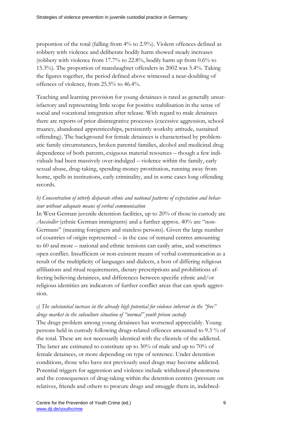proportion of the total (falling from 4% to 2.9%). Violent offences defined as robbery with violence and deliberate bodily harm showed steady increases (robbery with violence from 17.7% to 22.8%, bodily harm up from 0.6% to 15.3%). The proportion of manslaughter offenders in 2002 was 5.4%. Taking the figures together, the period defined above witnessed a near-doubling of offences of violence, from 25.5% to 46.4%.

Teaching and learning provision for young detainees is rated as generally unsatisfactory and representing little scope for positive stabilisation in the sense of social and vocational integration after release. With regard to male detainees there are reports of prior disintegrative processes (excessive aggression, school truancy, abandoned apprenticeships, persistently workshy attitude, sustained offending). The background for female detainees is characterised by problematic family circumstances, broken parental families, alcohol and medicinal drug dependence of both parents, exiguous material resources – though a few individuals had been massively over-indulged – violence within the family, early sexual abuse, drug-taking, spending-money prostitution, running away from home, spells in institutions, early criminality, and in some cases long offending records.

#### *b) Concentration of utterly disparate ethnic and national patterns of expectation and behaviour without adequate means of verbal communication*

In West German juvenile detention facilities, up to 20% of those in custody are *Aussiedler* (ethnic German immigrants) and a further approx. 40% are "non-Germans" (meaning foreigners and stateless persons). Given the large number of countries of origin represented – in the case of remand centres amounting to 60 and more – national and ethnic tensions can easily arise, and sometimes open conflict. Insufficient or non-existent means of verbal communication as a result of the multiplicity of languages and dialects, a host of differing religious affiliations and ritual requirements, dietary prescriptions and prohibitions affecting believing detainees, and differences between specific ethnic and/or religious identities are indicators of further conflict areas that can spark aggression.

#### *c) The substantial increase in the already high potential for violence inherent in the "free" drugs market in the subculture situation of "normal" youth prison custody*

The drugs problem among young detainees has worsened appreciably. Young persons held in custody following drugs-related offences amounted to 9.3 % of the total. These are not necessarily identical with the clientele of the addicted. The latter are estimated to constitute up to 30% of male and up to 70% of female detainees, or more depending on type of sentence. Under detention conditions, those who have not previously used drugs may become addicted. Potential triggers for aggression and violence include withdrawal phenomena and the consequences of drug-taking within the detention centres (pressure on relatives, friends and others to procure drugs and smuggle them in, indebted-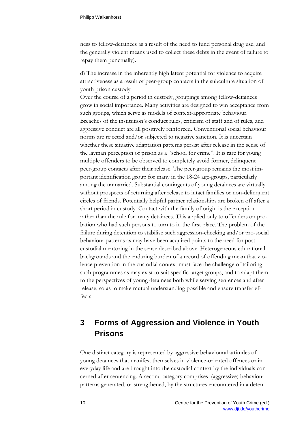ness to fellow-detainees as a result of the need to fund personal drug use, and the generally violent means used to collect these debts in the event of failure to repay them punctually).

d) The increase in the inherently high latent potential for violence to acquire attractiveness as a result of peer-group contacts in the subculture situation of youth prison custody

Over the course of a period in custody, groupings among fellow-detainees grow in social importance. Many activities are designed to win acceptance from such groups, which serve as models of context-appropriate behaviour. Breaches of the institution's conduct rules, criticism of staff and of rules, and aggressive conduct are all positively reinforced. Conventional social behaviour norms are rejected and/or subjected to negative sanction. It is uncertain whether these situative adaptation patterns persist after release in the sense of the layman perception of prison as a "school for crime". It is rare for young multiple offenders to be observed to completely avoid former, delinquent peer-group contacts after their release. The peer-group remains the most important identification group for many in the 18-24 age-groups, particularly among the unmarried. Substantial contingents of young detainees are virtually without prospects of returning after release to intact families or non-delinquent circles of friends. Potentially helpful partner relationships are broken off after a short period in custody. Contact with the family of origin is the exception rather than the rule for many detainees. This applied only to offenders on probation who had such persons to turn to in the first place. The problem of the failure during detention to stabilise such aggression-checking and/or pro-social behaviour patterns as may have been acquired points to the need for postcustodial mentoring in the sense described above. Heterogeneous educational backgrounds and the enduring burden of a record of offending mean that violence prevention in the custodial context must face the challenge of tailoring such programmes as may exist to suit specific target groups, and to adapt them to the perspectives of young detainees both while serving sentences and after release, so as to make mutual understanding possible and ensure transfer effects.

## <span id="page-9-0"></span>**3 Forms of Aggression and Violence in Youth Prisons**

One distinct category is represented by aggressive behavioural attitudes of young detainees that manifest themselves in violence-oriented offences or in everyday life and are brought into the custodial context by the individuals concerned after sentencing. A second category comprises (aggressive) behaviour patterns generated, or strengthened, by the structures encountered in a deten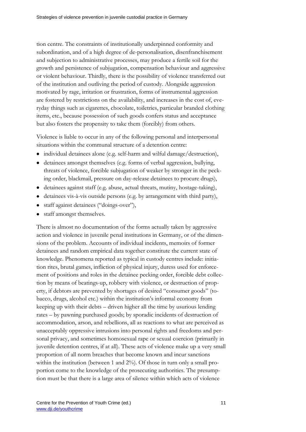tion centre. The constraints of institutionally underpinned conformity and subordination, and of a high degree of de-personalisation, disenfranchisement and subjection to administrative processes, may produce a fertile soil for the growth and persistence of subjugation, compensation behaviour and aggressive or violent behaviour. Thirdly, there is the possibility of violence transferred out of the institution and outliving the period of custody. Alongside aggression motivated by rage, irritation or frustration, forms of instrumental aggression are fostered by restrictions on the availability, and increases in the cost of, everyday things such as cigarettes, chocolate, toiletries, particular branded clothing items, etc., because possession of such goods confers status and acceptance but also fosters the propensity to take them (forcibly) from others.

Violence is liable to occur in any of the following personal and interpersonal situations within the communal structure of a detention centre:

- individual detainees alone (e.g. self-harm and wilful damage/destruction),
- detainees amongst themselves (e.g. forms of verbal aggression, bullying, threats of violence, forcible subjugation of weaker by stronger in the pecking order, blackmail, pressure on day-release detainees to procure drugs),
- detainees against staff (e.g. abuse, actual threats, mutiny, hostage-taking),
- detainees vis-à-vis outside persons (e.g. by arrangement with third party),
- staff against detainees ("doings-over"),
- staff amongst themselves.

There is almost no documentation of the forms actually taken by aggressive action and violence in juvenile penal institutions in Germany, or of the dimensions of the problem. Accounts of individual incidents, memoirs of former detainees and random empirical data together constitute the current state of knowledge. Phenomena reported as typical in custody centres include: initiation rites, brutal games, infliction of physical injury, duress used for enforcement of positions and roles in the detainee pecking order, forcible debt collection by means of beatings-up, robbery with violence, or destruction of property, if debtors are prevented by shortages of desired "consumer goods" (tobacco, drugs, alcohol etc.) within the institution's informal economy from keeping up with their debts – driven higher all the time by usurious lending rates – by pawning purchased goods; by sporadic incidents of destruction of accommodation, arson, and rebellions, all as reactions to what are perceived as unacceptably oppressive intrusions into personal rights and freedoms and personal privacy, and sometimes homosexual rape or sexual coercion (primarily in juvenile detention centres, if at all). These acts of violence make up a very small proportion of all norm breaches that become known and incur sanctions within the institution (between 1 and 2%). Of those in turn only a small proportion come to the knowledge of the prosecuting authorities. The presumption must be that there is a large area of silence within which acts of violence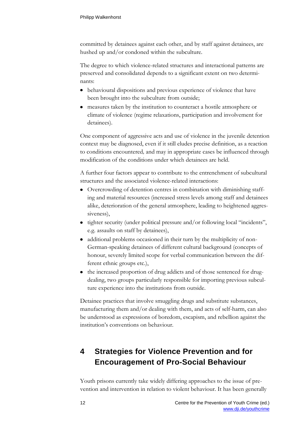committed by detainees against each other, and by staff against detainees, are hushed up and/or condoned within the subculture.

The degree to which violence-related structures and interactional patterns are preserved and consolidated depends to a significant extent on two determinants:

- behavioural dispositions and previous experience of violence that have been brought into the subculture from outside;
- measures taken by the institution to counteract a hostile atmosphere or climate of violence (regime relaxations, participation and involvement for detainees).

One component of aggressive acts and use of violence in the juvenile detention context may be diagnosed, even if it still eludes precise definition, as a reaction to conditions encountered*,* and may in appropriate cases be influenced through modification of the conditions under which detainees are held.

A further four factors appear to contribute to the entrenchment of subcultural structures and the associated violence-related interactions:

- Overcrowding of detention centres in combination with diminishing staffing and material resources (increased stress levels among staff and detainees alike, deterioration of the general atmosphere, leading to heightened aggressiveness),
- tighter security (under political pressure and/or following local "incidents", e.g. assaults on staff by detainees),
- additional problems occasioned in their turn by the multiplicity of non-German-speaking detainees of different cultural background (concepts of honour, severely limited scope for verbal communication between the different ethnic groups etc.),
- the increased proportion of drug addicts and of those sentenced for drugdealing, two groups particularly responsible for importing previous subculture experience into the institutions from outside.

Detainee practices that involve smuggling drugs and substitute substances, manufacturing them and/or dealing with them, and acts of self-harm, can also be understood as expressions of boredom, escapism, and rebellion against the institution's conventions on behaviour.

## <span id="page-11-0"></span>**4 Strategies for Violence Prevention and for Encouragement of Pro-Social Behaviour**

Youth prisons currently take widely differing approaches to the issue of prevention and intervention in relation to violent behaviour. It has been generally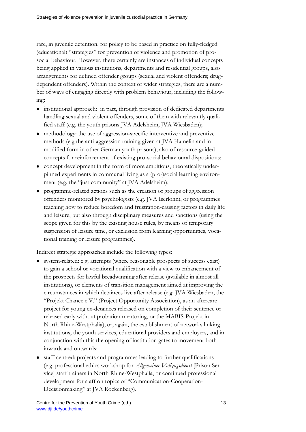rare, in juvenile detention, for policy to be based in practice on fully-fledged (educational) "strategies" for prevention of violence and promotion of prosocial behaviour. However, there certainly are instances of individual concepts being applied in various institutions, departments and residential groups, also arrangements for defined offender groups (sexual and violent offenders; drugdependent offenders). Within the context of wider strategies, there are a number of ways of engaging directly with problem behaviour, including the following:

- institutional approach: in part, through provision of dedicated departments handling sexual and violent offenders, some of them with relevantly qualified staff (e.g. the youth prisons JVA Adelsheim, JVA Wiesbaden);
- methodology: the use of aggression-specific interventive and preventive methods (e.g the anti-aggression training given at JVA Hamelin and in modified form in other German youth prisons), also of resource-guided concepts for reinforcement of existing pro-social behavioural dispositions;
- concept development in the form of more ambitious, theoretically underpinned experiments in communal living as a (pro-)social learning environment (e.g. the "just community" at JVA Adelsheim);
- programme-related actions such as the creation of groups of aggression offenders monitored by psychologists (e.g. JVA Iserlohn), or programmes teaching how to reduce boredom and frustration-causing factors in daily life and leisure, but also through disciplinary measures and sanctions (using the scope given for this by the existing house rules, by means of temporary suspension of leisure time, or exclusion from learning opportunities, vocational training or leisure programmes).

Indirect strategic approaches include the following types:

- system-related: e.g. attempts (where reasonable prospects of success exist) to gain a school or vocational qualification with a view to enhancement of the prospects for lawful breadwinning after release (available in almost all institutions), or elements of transition management aimed at improving the circumstances in which detainees live after release (e.g. JVA Wiesbaden, the "Projekt Chance e.V." (Project Opportunity Association), as an aftercare project for young ex-detainees released on completion of their sentence or released early without probation mentoring, or the MABIS-Projekt in North Rhine-Westphalia), or, again, the establishment of networks linking institutions, the youth services, educational providers and employers, and in conjunction with this the opening of institution gates to movement both inwards and outwards;
- staff-centred: projects and programmes leading to further qualifications (e.g. professional ethics workshop for *Allgemeiner Vollzugsdienst* [Prison Service] staff trainers in North Rhine-Westphalia, or continued professional development for staff on topics of "Communication-Cooperation-Decisionmaking" at JVA Rockenberg).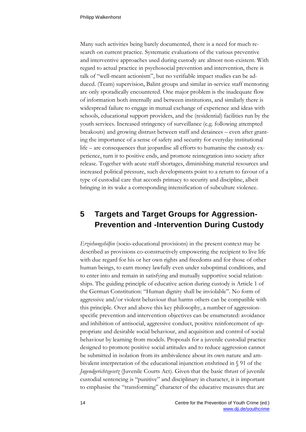Many such activities being barely documented, there is a need for much research on current practice. Systematic evaluations of the various preventive and interventive approaches used during custody are almost non-existent. With regard to actual practice in psychosocial prevention and intervention, there is talk of "well-meant actionism", but no verifiable impact studies can be adduced. (Team) supervision, Balint groups and similar in-service staff mentoring are only sporadically encountered. One major problem is the inadequate flow of information both internally and between institutions, and similarly there is widespread failure to engage in mutual exchange of experience and ideas with schools, educational support providers, and the (residential) facilities run by the youth services. Increased stringency of surveillance (e.g. following attempted breakouts) and growing distrust between staff and detainees – even after granting the importance of a sense of safety and security for everyday institutional life – are consequences that jeopardise all efforts to humanise the custody experience, turn it to positive ends, and promote reintegration into society after release. Together with acute staff shortages, diminishing material resources and increased political pressure, such developments point to a return to favour of a type of custodial care that accords primacy to security and discipline, albeit bringing in its wake a corresponding intensification of subculture violence.

## <span id="page-13-0"></span>**5 Targets and Target Groups for Aggression-Prevention and -Intervention During Custody**

*Erziehungshilfen* (socio-educational provisions) in the present context may be described as provisions co-constructively empowering the recipient to live life with due regard for his or her own rights and freedoms and for those of other human beings, to earn money lawfully even under suboptimal conditions, and to enter into and remain in satisfying and mutually supportive social relationships. The guiding principle of educative action during custody is Article 1 of the German Constitution: "Human dignity shall be inviolable". No form of aggressive and/or violent behaviour that harms others can be compatible with this principle. Over and above this key philosophy, a number of aggressionspecific prevention and intervention objectives can be enumerated: avoidance and inhibition of antisocial, aggressive conduct, positive reinforcement of appropriate and desirable social behaviour, and acquisition and control of social behaviour by learning from models. Proposals for a juvenile custodial practice designed to promote positive social attitudes and to reduce aggression cannot be submitted in isolation from its ambivalence about its own nature and ambivalent interpretation of the educational injunction enshrined in § 91 of the *Jugendgerichtsgesetz* (Juvenile Courts Act). Given that the basic thrust of juvenile custodial sentencing is "punitive" and disciplinary in character, it is important to emphasise the "transforming" character of the educative measures that are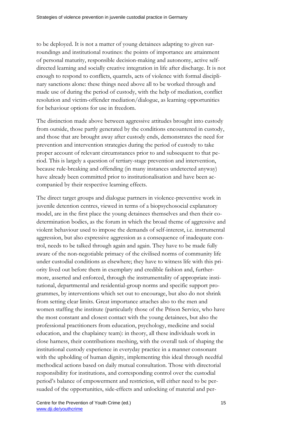to be deployed. It is not a matter of young detainees adapting to given surroundings and institutional routines: the points of importance are attainment of personal maturity, responsible decision-making and autonomy, active selfdirected learning and socially creative integration in life after discharge. It is not enough to respond to conflicts, quarrels, acts of violence with formal disciplinary sanctions alone: these things need above all to be worked through and made use of during the period of custody, with the help of mediation, conflict resolution and victim-offender mediation/dialogue, as learning opportunities for behaviour options for use in freedom.

The distinction made above between aggressive attitudes brought into custody from outside, those partly generated by the conditions encountered in custody, and those that are brought away after custody ends, demonstrates the need for prevention and intervention strategies during the period of custody to take proper account of relevant circumstances prior to and subsequent to that period. This is largely a question of tertiary-stage prevention and intervention, because rule-breaking and offending (in many instances undetected anyway) have already been committed prior to institutionalisation and have been accompanied by their respective learning effects.

The direct target groups and dialogue partners in violence-preventive work in juvenile detention centres, viewed in terms of a biopsychosocial explanatory model, are in the first place the young detainees themselves and then their codetermination bodies, as the forum in which the broad theme of aggressive and violent behaviour used to impose the demands of self-interest, i.e. instrumental aggression, but also expressive aggression as a consequence of inadequate control, needs to be talked through again and again. They have to be made fully aware of the non-negotiable primacy of the civilised norms of community life under custodial conditions as elsewhere; they have to witness life with this priority lived out before them in exemplary and credible fashion and, furthermore, asserted and enforced, through the instrumentality of appropriate institutional, departmental and residential-group norms and specific support programmes, by interventions which set out to encourage, but also do not shrink from setting clear limits. Great importance attaches also to the men and women staffing the institute (particularly those of the Prison Service, who have the most constant and closest contact with the young detainees, but also the professional practitioners from education, psychology, medicine and social education, and the chaplaincy team): in theory, all these individuals work in close harness, their contributions meshing, with the overall task of shaping the institutional custody experience in everyday practice in a manner consonant with the upholding of human dignity, implementing this ideal through needful methodical actions based on daily mutual consultation. Those with directorial responsibility for institutions, and corresponding control over the custodial period's balance of empowerment and restriction, will either need to be persuaded of the opportunities, side-effects and unlocking of material and per-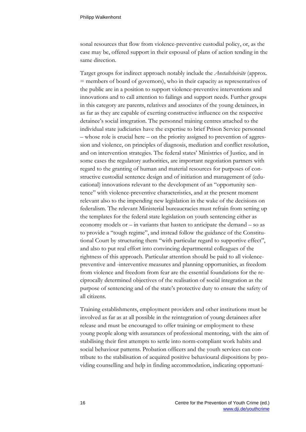sonal resources that flow from violence-preventive custodial policy, or, as the case may be, offered support in their espousal of plans of action tending in the same direction.

Target groups for indirect approach notably include the *Anstaltsbeiräte* (approx. = members of board of governors), who in their capacity as representatives of the public are in a position to support violence-preventive interventions and innovations and to call attention to failings and support needs. Further groups in this category are parents, relatives and associates of the young detainees, in as far as they are capable of exerting constructive influence on the respective detainee's social integration. The personnel training centres attached to the individual state judiciaries have the expertise to brief Prison Service personnel – whose role is crucial here – on the priority assigned to prevention of aggression and violence, on principles of diagnosis, mediation and conflict resolution, and on intervention strategies. The federal states' Ministries of Justice*,* and in some cases the regulatory authorities, are important negotiation partners with regard to the granting of human and material resources for purposes of constructive custodial sentence design and of initiation and management of (educational) innovations relevant to the development of an "opportunity sentence" with violence-preventive characteristics, and at the present moment relevant also to the impending new legislation in the wake of the decisions on federalism. The relevant Ministerial bureaucracies must refrain from setting up the templates for the federal state legislation on youth sentencing either as economy models or – in variants that hasten to anticipate the demand – so as to provide a "tough regime", and instead follow the guidance of the Constitutional Court by structuring them "with particular regard to supportive effect", and also to put real effort into convincing departmental colleagues of the rightness of this approach. Particular attention should be paid to all violencepreventive and -interventive measures and planning opportunities, as freedom from violence and freedom from fear are the essential foundations for the reciprocally determined objectives of the realisation of social integration as the purpose of sentencing and of the state's protective duty to ensure the safety of all citizens.

Training establishments, employment providers and other institutions must be involved as far as at all possible in the reintegration of young detainees after release and must be encouraged to offer training or employment to these young people along with assurances of professional mentoring, with the aim of stabilising their first attempts to settle into norm-compliant work habits and social behaviour patterns. Probation officers and the youth services can contribute to the stabilisation of acquired positive behavioural dispositions by providing counselling and help in finding accommodation, indicating opportuni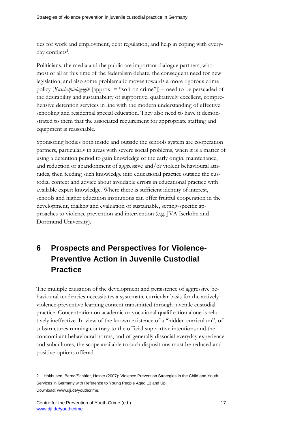ties for work and employment, debt regulation, and help in coping with everyday conflicts<sup>2</sup>.

Politicians, the media and the public are important dialogue partners, who – most of all at this time of the federalism debate, the consequent need for new legislation, and also some problematic moves towards a more rigorous crime policy (*Kuschelpädagogik* [approx. = "soft on crime"]) – need to be persuaded of the desirability and sustainability of supportive, qualitatively excellent, comprehensive detention services in line with the modern understanding of effective schooling and residential special education. They also need to have it demonstrated to them that the associated requirement for appropriate staffing and equipment is reasonable.

Sponsoring bodies both inside and outside the schools system are cooperation partners, particularly in areas with severe social problems, when it is a matter of using a detention period to gain knowledge of the early origin, maintenance, and reduction or abandonment of aggressive and/or violent behavioural attitudes, then feeding such knowledge into educational practice outside the custodial context and advice about avoidable errors in educational practice with available expert knowledge. Where there is sufficient identity of interest, schools and higher education institutions can offer fruitful cooperation in the development, trialling and evaluation of sustainable, setting-specific approaches to violence prevention and intervention (e.g. JVA Iserlohn and Dortmund University).

## <span id="page-16-0"></span>**6 Prospects and Perspectives for Violence-Preventive Action in Juvenile Custodial Practice**

The multiple causation of the development and persistence of aggressive behavioural tendencies necessitates a systematic curricular basis for the actively violence-preventive learning content transmitted through juvenile custodial practice. Concentration on academic or vocational qualification alone is relatively ineffective. In view of the known existence of a "hidden curriculum", of substructures running contrary to the official supportive intentions and the concomitant behavioural norms, and of generally dissocial everyday experience and subcultures, the scope available to such dispositions must be reduced and positive options offered.

<sup>2</sup> Holthusen, Bernd/Schäfer, Heiner (2007): Violence Prevention Strategies in the Child and Youth Services in Germany with Reference to Young People Aged 13 and Up. Download: www.dji.de/youthcrime.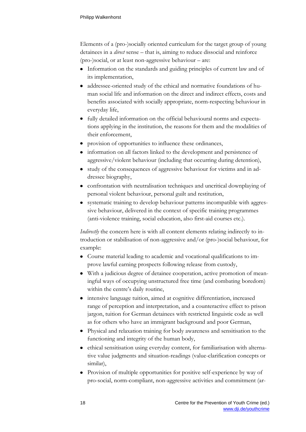Elements of a (pro-)socially oriented curriculum for the target group of young detainees in a *direct* sense – that is, aiming to reduce dissocial and reinforce (pro-)social, or at least non-aggressive behaviour – are:

- Information on the standards and guiding principles of current law and of its implementation,
- addressee-oriented study of the ethical and normative foundations of human social life and information on the direct and indirect effects, costs and benefits associated with socially appropriate, norm-respecting behaviour in everyday life,
- fully detailed information on the official behavioural norms and expectations applying in the institution, the reasons for them and the modalities of their enforcement,
- provision of opportunities to influence these ordinances,
- information on all factors linked to the development and persistence of aggressive/violent behaviour (including that occurring during detention),
- study of the consequences of aggressive behaviour for victims and in addressee biography,
- confrontation with neutralisation techniques and uncritical downplaying of personal violent behaviour, personal guilt and restitution,
- systematic training to develop behaviour patterns incompatible with aggressive behaviour, delivered in the context of specific training programmes (anti-violence training, social education, also first-aid courses etc.).

*Indirectly* the concern here is with all content elements relating indirectly to introduction or stabilisation of non-aggressive and/or (pro-)social behaviour, for example:

- Course material leading to academic and vocational qualifications to improve lawful earning prospects following release from custody,
- With a judicious degree of detainee cooperation, active promotion of meaningful ways of occupying unstructured free time (and combating boredom) within the centre's daily routine,
- intensive language tuition, aimed at cognitive differentiation, increased range of perception and interpretation, and a counteractive effect to prison jargon, tuition for German detainees with restricted linguistic code as well as for others who have an immigrant background and poor German,
- Physical and relaxation training for body awareness and sensitisation to the functioning and integrity of the human body,
- ethical sensitisation using everyday content, for familiarisation with alternative value judgments and situation-readings (value-clarification concepts or similar),
- Provision of multiple opportunities for positive self-experience by way of pro-social, norm-compliant, non-aggressive activities and commitment (ar-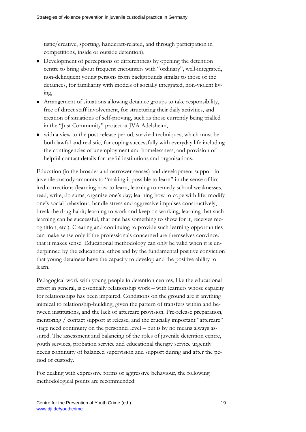tistic/creative, sporting, handcraft-related, and through participation in competitions, inside or outside detention),

- Development of perceptions of differentness by opening the detention centre to bring about frequent encounters with "ordinary", well-integrated, non-delinquent young persons from backgrounds similar to those of the detainees, for familiarity with models of socially integrated, non-violent living,
- Arrangement of situations allowing detainee groups to take responsibility, free of direct staff involvement, for structuring their daily activities, and creation of situations of self-proving, such as those currently being trialled in the "Just Community" project at JVA Adelsheim,
- with a view to the post-release period, survival techniques, which must be both lawful and realistic, for coping successfully with everyday life including the contingencies of unemployment and homelessness, and provision of helpful contact details for useful institutions and organisations.

Education (in the broader and narrower senses) and development support in juvenile custody amounts to "making it possible to learn" in the sense of limited corrections (learning how to learn, learning to remedy school weaknesses, read, write, do sums, organise one's day; learning how to cope with life, modify one's social behaviour, handle stress and aggressive impulses constructively, break the drug habit; learning to work and keep on working, learning that such learning can be successful, that one has something to show for it, receives recognition, etc.). Creating and continuing to provide such learning opportunities can make sense only if the professionals concerned are themselves convinced that it makes sense. Educational methodology can only be valid when it is underpinned by the educational ethos and by the fundamental positive conviction that young detainees have the capacity to develop and the positive ability to learn.

Pedagogical work with young people in detention centres, like the educational effort in general, is essentially relationship work – with learners whose capacity for relationships has been impaired. Conditions on the ground are if anything inimical to relationship-building, given the pattern of transfers within and between institutions, and the lack of aftercare provision. Pre-release preparation, mentoring / contact support at release, and the crucially important "aftercare" stage need continuity on the personnel level – but is by no means always assured. The assessment and balancing of the roles of juvenile detention centre, youth services, probation service and educational therapy service urgently needs continuity of balanced supervision and support during and after the period of custody.

For dealing with expressive forms of aggressive behaviour, the following methodological points are recommended: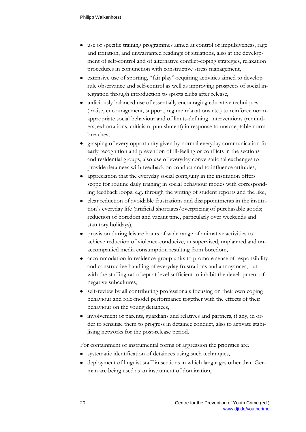- use of specific training programmes aimed at control of impulsiveness, rage and irritation, and unwarranted readings of situations, also at the development of self-control and of alternative conflict-coping strategies, relaxation procedures in conjunction with constructive stress management,
- extensive use of sporting, "fair play"-requiring activities aimed to develop rule observance and self-control as well as improving prospects of social integration through introduction to sports clubs after release,
- judiciously balanced use of essentially encouraging educative techniques (praise, encouragement, support, regime relaxations etc.) to reinforce normappropriate social behaviour and of limits-defining interventions (reminders, exhortations, criticism, punishment) in response to unacceptable norm breaches,
- grasping of every opportunity given by normal everyday communication for early recognition and prevention of ill-feeling or conflicts in the sections and residential groups, also use of everyday conversational exchanges to provide detainees with feedback on conduct and to influence attitudes,
- appreciation that the everyday social contiguity in the institution offers scope for routine daily training in social behaviour modes with corresponding feedback loops, e.g. through the writing of student reports and the like,
- clear reduction of avoidable frustrations and disappointments in the institution's everyday life (artificial shortages/overpricing of purchasable goods; reduction of boredom and vacant time, particularly over weekends and statutory holidays),
- provision during leisure hours of wide range of animative activities to achieve reduction of violence-conducive, unsupervised, unplanned and unaccompanied media consumption resulting from boredom,
- accommodation in residence-group units to promote sense of responsibility and constructive handling of everyday frustrations and annoyances, but with the staffing ratio kept at level sufficient to inhibit the development of negative subcultures,
- self-review by all contributing professionals focusing on their own coping behaviour and role-model performance together with the effects of their behaviour on the young detainees,
- involvement of parents, guardians and relatives and partners, if any, in order to sensitise them to progress in detainee conduct, also to activate stabilising networks for the post-release period.

For containment of instrumental forms of aggression the priorities are*:*

- systematic identification of detainees using such techniques,
- deployment of linguist staff in sections in which languages other than German are being used as an instrument of domination,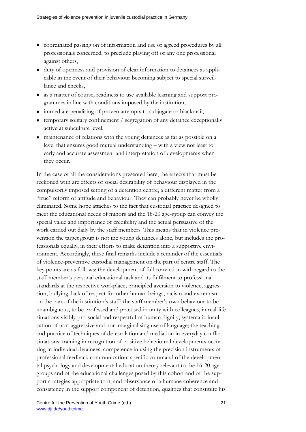- coordinated passing on of information and use of agreed procedures by all professionals concerned, to preclude playing off of any one professional against others,
- duty of openness and provision of clear information to detainees as applicable in the event of their behaviour becoming subject to special surveillance and checks,
- as a matter of course, readiness to use available learning and support programmes in line with conditions imposed by the institution,
- immediate penalising of proven attempts to subjugate or blackmail,
- temporary solitary confinement / segregation of any detainee exceptionally active at subculture level,
- maintenance of relations with the young detainees as far as possible on a level that ensures good mutual understanding – with a view not least to early and accurate assessment and interpretation of developments when they occur.

In the case of all the considerations presented here, the effects that must be reckoned with are effects of social desirability of behaviour displayed in the compulsorily imposed setting of a detention centre, a different matter from a "true" reform of attitude and behaviour. They can probably never be wholly eliminated. Some hope attaches to the fact that custodial practice designed to meet the educational needs of minors and the 18-20 age-group can convey the special value and importance of credibility and the actual persuasive of the work carried out daily by the staff members. This means that in violence prevention the target group is not the young detainees alone, but includes the professionals equally, in their efforts to make detention into a supportive environment. Accordingly, these final remarks include a reminder of the essentials of violence-preventive custodial management on the part of centre staff. The key points are as follows: the development of full conviction with regard to the staff member's personal educational task and its fulfilment to professional standards at the respective workplace; principled aversion to violence, aggression, bullying, lack of respect for other human beings, racism and extremism on the part of the institution's staff; the staff member's own behaviour to be unambiguous, to be professed and practised in unity with colleagues, in real-life situations visibly pro-social and respectful of human dignity; systematic inculcation of non-aggressive and non-marginalising use of language; the teaching and practice of techniques of de-escalation and mediation in everyday conflict situations; training in recognition of positive behavioural developments occurring in individual detainees; competence in using the precision instruments of professional feedback communication; specific command of the developmental psychology and developmental education theory relevant to the 16-20 agegroups and of the educational challenges posed by this cohort and of the support strategies appropriate to it; and observance of a humane coherence and consistency in the support component of detention, qualities that constitute his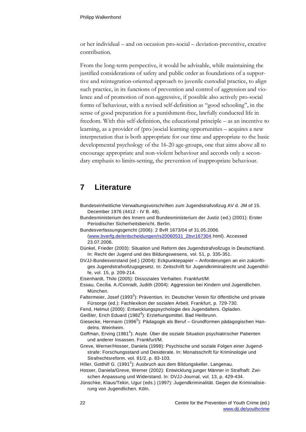or her individual – and on occasion pro-social – deviation-preventive, creative contribution.

From the long-term perspective, it would be advisable, while maintaining the justified considerations of safety and public order as foundations of a supportive and reintegration-oriented approach to juvenile custodial practice, to align such practice, in its functions of prevention and control of aggression and violence and of promotion of non-aggressive, if possible also actively pro-social forms of behaviour, with a revised self-definition as "good schooling", in the sense of good preparation for a punishment-free, lawfully conducted life in freedom. With this self-definition, the educational principle – as an incentive to learning, as a provider of (pro-)social learning opportunities – acquires a new interpretation that is both appropriate for our time and appropriate to the basic developmental psychology of the 16-20 age-groups, one that aims above all to encourage appropriate and non-violent behaviour and accords only a secondary emphasis to limits-setting, the prevention of inappropriate behaviour.

#### <span id="page-21-0"></span>**7 Literature**

- Bundeseinheitliche Verwaltungsvorschriften zum Jugendstrafvollzug AV d. JM of 15. December 1976 (4412 - IV B. 48).
- Bundesministerium des Innern und Bundesministerium der Justiz (ed.) (2001): Erster Periodischer Sicherheitsbericht. Berlin.
- Bundesverfassungsgericht (2006): 2 BvR 1673/04 of 31.05.2006. [\(www.bverfg.de/entscheidungen/rs20060531\\_2bvr167304.](http://www.bverfg.de/entscheidungen/rs20060531_2bvr167304)html). Accessed 23.07.2006.
- Dünkel, Frieder (2003): Situation und Reform des Jugendstrafvollzugs in Deutschland. In: Recht der Jugend und des Bildungswesens, vol. 51, p. 335-351.
- DVJJ-Bundesvorstand (ed.) (2004): Eckpunktepapier Anforderungen an ein zukünftiges Jugendstrafvollzugsgesetz. In: Zeitschrift für Jugendkriminalrecht und Jugendhilfe, vol. 15, p. 209-214.
- Eisenhardt, Thilo (2005): Dissoziales Verhalten. Frankfurt/M.
- Essau, Cecilia. A./Conradt, Judith (2004): Aggression bei Kindern und Jugendlichen. München.
- Faltermeier, Josef (1993<sup>3</sup>): Prävention. In: Deutscher Verein für öffentliche und private Fürsorge (ed.): Fachlexikon der sozialen Arbeit. Frankfurt, p. 729-730.
- Fend, Helmut (2000): Entwicklungspsychologie des Jugendalters. Opladen.
- Geißler, Erich Eduard (1982<sup>6</sup>): Erziehungsmittel. Bad Heilbrunn.
- Giesecke, Hermann (1996<sup>5</sup>): Pädagogik als Beruf Grundformen pädagogischen Handelns. Weinheim.
- Goffman, Erving (1981<sup>4</sup>): Asyle. Über die soziale Situation psychiatrischer Patienten und anderer Insassen. Frankfurt/M.
- Greve, Werner/Hosser, Daniela (1998): Psychische und soziale Folgen einer Jugendstrafe: Forschungsstand und Desiderate. In: Monatsschrift für Kriminologie und Strafrechtsreform. vol. 81/2, p. 83-103.
- Hiller, Gotthilf G. (1991<sup>2</sup>): Ausbruch aus dem Bildungskeller. Langenau.
- Hosser, Daniela/Greve, Werner (2002): Entwicklung junger Männer in Strafhaft: Zwischen Anpassung und Widerstand. In: DVJJ-Journal, vol. 13, p. 429-434.
- Jünschke, Klaus/Tekin, Ugur (eds.) (1997): Jugendkriminalität. Gegen die Kriminalisierung von Jugendlichen. Köln.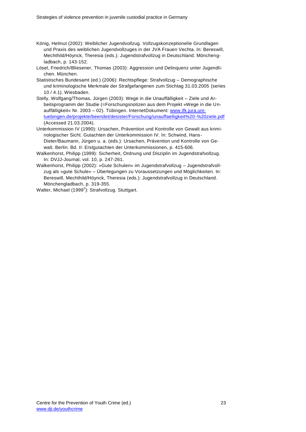- König, Helmut (2002): Weiblicher Jugendvollzug. Vollzugskonzeptionelle Grundlagen und Praxis des weiblichen Jugendvollzuges in der JVA Frauen Vechta. In: Bereswill, Mechthild/Höynck, Theresia (eds.): Jugendstrafvollzug in Deutschland. Mönchengladbach, p. 143-152.
- Lösel, Friedrich/Bliesener, Thomas (2003): Aggression und Delinquenz unter Jugendlichen. München.
- Statistisches Bundesamt (ed.) (2006): Rechtspflege: Strafvollzug Demographische und kriminologische Merkmale der Strafgefangenen zum Stichtag 31.03.2005 (series 10 / 4.1). Wiesbaden.
- Stelly, Wolfgang/Thomas, Jürgen (2003): Wege in die Unauffälligkeit Ziele und Arbeitsprogramm der Studie (=Forschungsnotizen aus dem Projekt »Wege in die Unauffälligkeit« Nr. 2003 – 02). Tübingen. InternetDokument: [www.ifk.jura.uni](http://www.ifk.jura.uni-tuebingen.de/projekte/beendet/desister/Forschung/unauffaelligkeit%20-%20ziele.pdf)[tuebingen.de/projekte/beendet/desister/Forschung/unauffaelligkeit%20-%20ziele.pdf](http://www.ifk.jura.uni-tuebingen.de/projekte/beendet/desister/Forschung/unauffaelligkeit%20-%20ziele.pdf) (Accessed 21.03.2004).
- Unterkommission IV (1990): Ursachen, Prävention und Kontrolle von Gewalt aus kriminologischer Sicht. Gutachten der Unterkommission IV. In: Schwind, Hans-Dieter/Baumann, Jürgen u. a. (eds.): Ursachen, Prävention und Kontrolle von Gewalt. Berlin. Bd. II: Erstgutachten der Unterkommissionen, p. 415-606.
- Walkenhorst, Philipp (1999): Sicherheit, Ordnung und Disziplin im Jugendstrafvollzug. In: DVJJ-Journal, vol. 10, p. 247-261.
- Walkenhorst, Philipp (2002): »Gute Schulen« im Jugendstrafvollzug Jugendstrafvollzug als »gute Schule« – Überlegungen zu Voraussetzungen und Möglichkeiten. In: Bereswill, Mechthild/Höynck, Theresia (eds.): Jugendstrafvollzug in Deutschland. Mönchengladbach, p. 319-355.

Walter, Michael (1999 $^2$ ): Strafvollzug. Stuttgart.